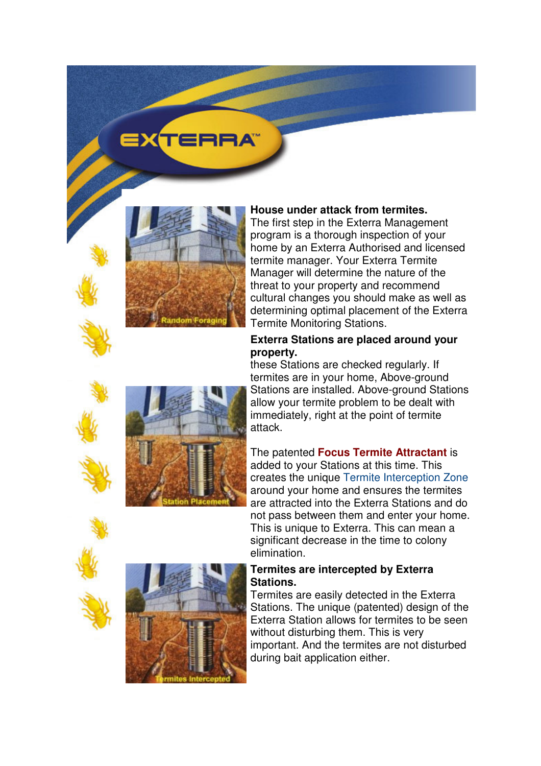# EXTERRA



### **House under attack from termites.**

The first step in the Exterra Management program is a thorough inspection of your home by an Exterra Authorised and licensed termite manager. Your Exterra Termite Manager will determine the nature of the threat to your property and recommend cultural changes you should make as well as determining optimal placement of the Exterra Termite Monitoring Stations.

### **Exterra Stations are placed around your property.**

these Stations are checked regularly. If termites are in your home, Above-ground Stations are installed. Above-ground Stations allow your termite problem to be dealt with immediately, right at the point of termite attack.

The patented **Focus Termite Attractant** is added to your Stations at this time. This creates the unique Termite Interception Zone around your home and ensures the termites are attracted into the Exterra Stations and do not pass between them and enter your home. This is unique to Exterra. This can mean a significant decrease in the time to colony elimination.

## **Termites are intercepted by Exterra Stations.**

Termites are easily detected in the Exterra Stations. The unique (patented) design of the Exterra Station allows for termites to be seen without disturbing them. This is very important. And the termites are not disturbed during bait application either.